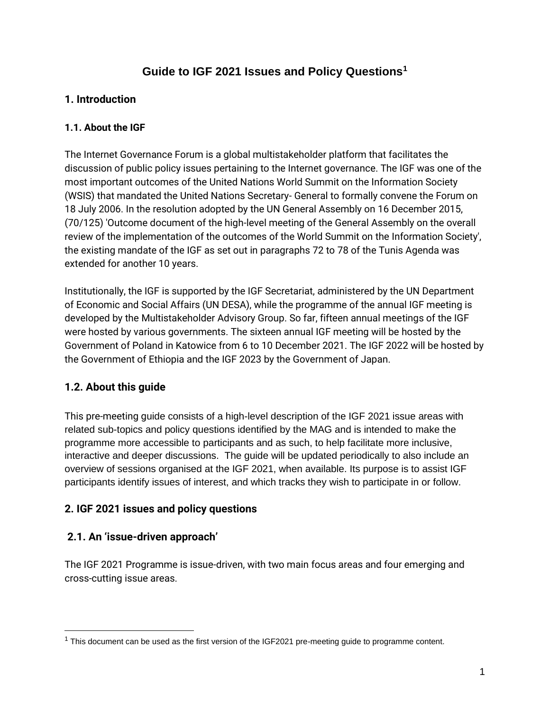# **Guide to IGF 2021 Issues and Policy Questions<sup>1</sup>**

# **1. Introduction**

## **1.1. About the IGF**

The Internet Governance Forum is a global multistakeholder platform that facilitates the discussion of public policy issues pertaining to the Internet governance. The IGF was one of the most important outcomes of the United Nations World Summit on the Information Society (WSIS) that mandated the United Nations Secretary- General to formally convene the Forum on 18 July 2006. In the resolution adopted by the UN General Assembly on 16 December 2015, (70/125) 'Outcome document of the high-level meeting of the General Assembly on the overall review of the implementation of the outcomes of the World Summit on the Information Society', the existing mandate of the IGF as set out in paragraphs 72 to 78 of the Tunis Agenda was extended for another 10 years.

Institutionally, the IGF is supported by the IGF Secretariat, administered by the UN Department of Economic and Social Affairs (UN DESA), while the programme of the annual IGF meeting is developed by the Multistakeholder Advisory Group. So far, fifteen annual meetings of the IGF were hosted by various governments. The sixteen annual IGF meeting will be hosted by the Government of Poland in Katowice from 6 to 10 December 2021. The IGF 2022 will be hosted by the Government of Ethiopia and the IGF 2023 by the Government of Japan.

# **1.2. About this guide**

This pre-meeting guide consists of a high-level description of the IGF 2021 issue areas with related sub-topics and policy questions identified by the MAG and is intended to make the programme more accessible to participants and as such, to help facilitate more inclusive, interactive and deeper discussions. The guide will be updated periodically to also include an overview of sessions organised at the IGF 2021, when available. Its purpose is to assist IGF participants identify issues of interest, and which tracks they wish to participate in or follow.

# **2. IGF 2021 issues and policy questions**

# **2.1. An 'issue-driven approach'**

The IGF 2021 Programme is issue-driven, with two main focus areas and four emerging and cross-cutting issue areas.

 $1$  This document can be used as the first version of the IGF2021 pre-meeting guide to programme content.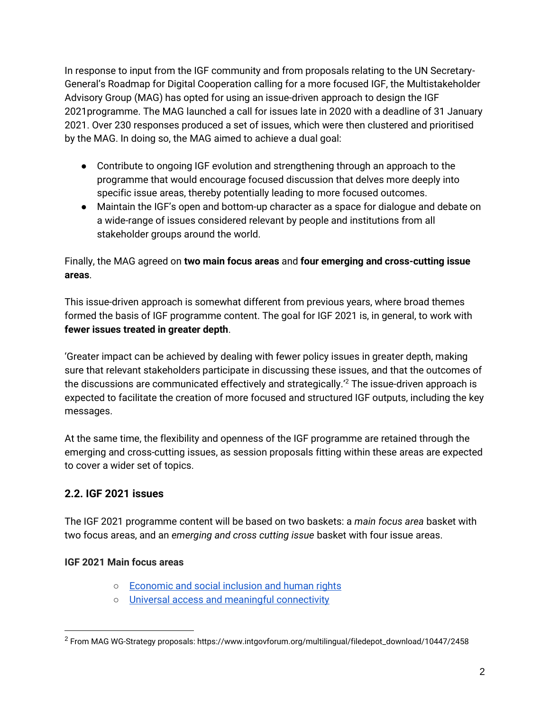In response to input from the IGF community and from proposals relating to the UN Secretary-General's Roadmap for Digital Cooperation calling for a more focused IGF, the Multistakeholder Advisory Group (MAG) has opted for using an issue-driven approach to design the IGF 2021programme. The MAG launched a call for issues late in 2020 with a deadline of 31 January 2021. Over 230 responses produced a set of issues, which were then clustered and prioritised by the MAG. In doing so, the MAG aimed to achieve a dual goal:

- Contribute to ongoing IGF evolution and strengthening through an approach to the programme that would encourage focused discussion that delves more deeply into specific issue areas, thereby potentially leading to more focused outcomes.
- Maintain the IGF's open and bottom-up character as a space for dialogue and debate on a wide-range of issues considered relevant by people and institutions from all stakeholder groups around the world.

# Finally, the MAG agreed on **two main focus areas** and **four emerging and cross-cutting issue areas**.

This issue-driven approach is somewhat different from previous years, where broad themes formed the basis of IGF programme content. The goal for IGF 2021 is, in general, to work with **fewer issues treated in greater depth**.

'Greater impact can be achieved by dealing with fewer policy issues in greater depth, making sure that relevant stakeholders participate in discussing these issues, and that the outcomes of the discussions are communicated effectively and strategically.'<sup>2</sup> The issue-driven approach is expected to facilitate the creation of more focused and structured IGF outputs, including the key messages.

At the same time, the flexibility and openness of the IGF programme are retained through the emerging and cross-cutting issues, as session proposals fitting within these areas are expected to cover a wider set of topics.

# **2.2. IGF 2021 issues**

The IGF 2021 programme content will be based on two baskets: a *main focus area* basket with two focus areas, and an *emerging and cross cutting issue* basket with four issue areas.

# **IGF 2021 Main focus areas**

- [Economic and social inclusion and human rights](#page-3-0)
- [Universal access and meaningful connectivity](#page-5-0)

 $^2$  From MAG WG-Strategy proposals: https://www.intgovforum.org/multilingual/filedepot\_download/10447/2458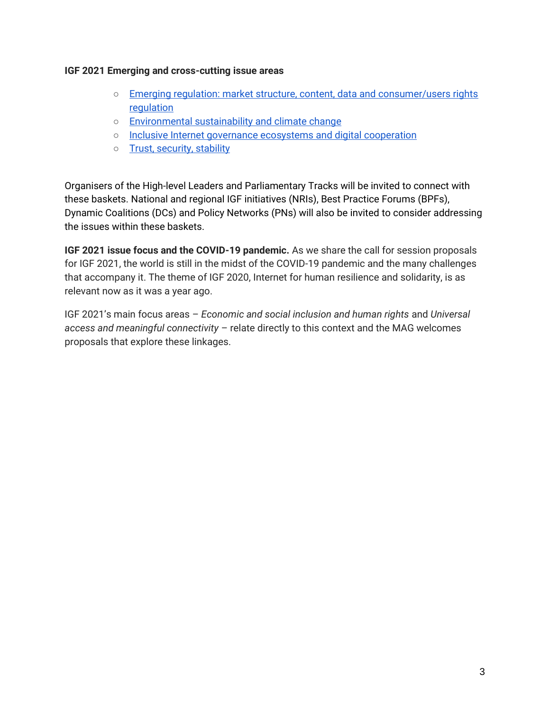#### **IGF 2021 Emerging and cross-cutting issue areas**

- [Emerging regulation: market structure, content, data and consumer/users rights](#page-7-0)  [regulation](#page-7-0)
- [Environmental sustainability and climate change](#page-9-0)
- o [Inclusive Internet governance ecosystems and digital cooperation](#page-11-0)
- [Trust, security, stability](#page-13-0)

Organisers of the High-level Leaders and Parliamentary Tracks will be invited to connect with these baskets. National and regional IGF initiatives (NRIs), Best Practice Forums (BPFs), Dynamic Coalitions (DCs) and Policy Networks (PNs) will also be invited to consider addressing the issues within these baskets.

**IGF 2021 issue focus and the COVID-19 pandemic.** As we share the call for session proposals for IGF 2021, the world is still in the midst of the COVID-19 pandemic and the many challenges that accompany it. The theme of IGF 2020, Internet for human resilience and solidarity, is as relevant now as it was a year ago.

IGF 2021's main focus areas – *[Economic and social inclusion and human rights](#page-3-0)* and *[Universal](#page-5-0)  [access and meaningful connectivity](#page-5-0)* – relate directly to this context and the MAG welcomes proposals that explore these linkages.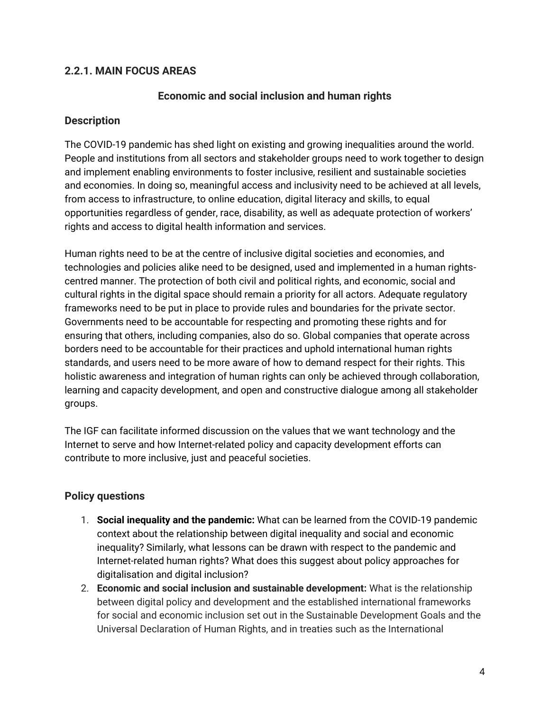## <span id="page-3-0"></span>**2.2.1. MAIN FOCUS AREAS**

### **Economic and social inclusion and human rights**

### **Description**

The COVID-19 pandemic has shed light on existing and growing inequalities around the world. People and institutions from all sectors and stakeholder groups need to work together to design and implement enabling environments to foster inclusive, resilient and sustainable societies and economies. In doing so, meaningful access and inclusivity need to be achieved at all levels, from access to infrastructure, to online education, digital literacy and skills, to equal opportunities regardless of gender, race, disability, as well as adequate protection of workers' rights and access to digital health information and services.

Human rights need to be at the centre of inclusive digital societies and economies, and technologies and policies alike need to be designed, used and implemented in a human rightscentred manner. The protection of both civil and political rights, and economic, social and cultural rights in the digital space should remain a priority for all actors. Adequate regulatory frameworks need to be put in place to provide rules and boundaries for the private sector. Governments need to be accountable for respecting and promoting these rights and for ensuring that others, including companies, also do so. Global companies that operate across borders need to be accountable for their practices and uphold international human rights standards, and users need to be more aware of how to demand respect for their rights. This holistic awareness and integration of human rights can only be achieved through collaboration, learning and capacity development, and open and constructive dialogue among all stakeholder groups.

The IGF can facilitate informed discussion on the values that we want technology and the Internet to serve and how Internet-related policy and capacity development efforts can contribute to more inclusive, just and peaceful societies.

## **Policy questions**

- 1. **Social inequality and the pandemic:** What can be learned from the COVID-19 pandemic context about the relationship between digital inequality and social and economic inequality? Similarly, what lessons can be drawn with respect to the pandemic and Internet-related human rights? What does this suggest about policy approaches for digitalisation and digital inclusion?
- 2. **Economic and social inclusion and sustainable development:** What is the relationship between digital policy and development and the established international frameworks for social and economic inclusion set out in the Sustainable Development Goals and the Universal Declaration of Human Rights, and in treaties such as the International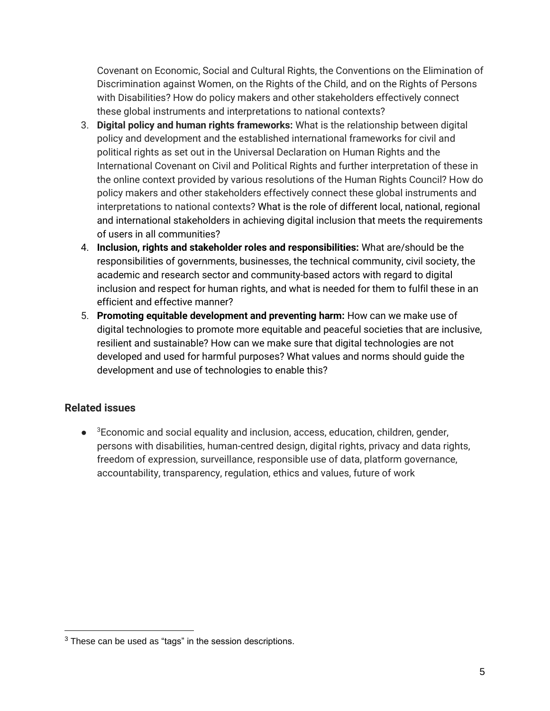Covenant on Economic, Social and Cultural Rights, the Conventions on the Elimination of Discrimination against Women, on the Rights of the Child, and on the Rights of Persons with Disabilities? How do policy makers and other stakeholders effectively connect these global instruments and interpretations to national contexts?

- 3. **Digital policy and human rights frameworks:** What is the relationship between digital policy and development and the established international frameworks for civil and political rights as set out in the Universal Declaration on Human Rights and the International Covenant on Civil and Political Rights and further interpretation of these in the online context provided by various resolutions of the Human Rights Council? How do policy makers and other stakeholders effectively connect these global instruments and interpretations to national contexts? What is the role of different local, national, regional and international stakeholders in achieving digital inclusion that meets the requirements of users in all communities?
- 4. **Inclusion, rights and stakeholder roles and responsibilities:** What are/should be the responsibilities of governments, businesses, the technical community, civil society, the academic and research sector and community-based actors with regard to digital inclusion and respect for human rights, and what is needed for them to fulfil these in an efficient and effective manner?
- 5. **Promoting equitable development and preventing harm:** How can we make use of digital technologies to promote more equitable and peaceful societies that are inclusive, resilient and sustainable? How can we make sure that digital technologies are not developed and used for harmful purposes? What values and norms should guide the development and use of technologies to enable this?

## **Related issues**

● <sup>3</sup>Economic and social equality and inclusion, access, education, children, gender, persons with disabilities, human-centred design, digital rights, privacy and data rights, freedom of expression, surveillance, responsible use of data, platform governance, accountability, transparency, regulation, ethics and values, future of work

 $3$  These can be used as "tags" in the session descriptions.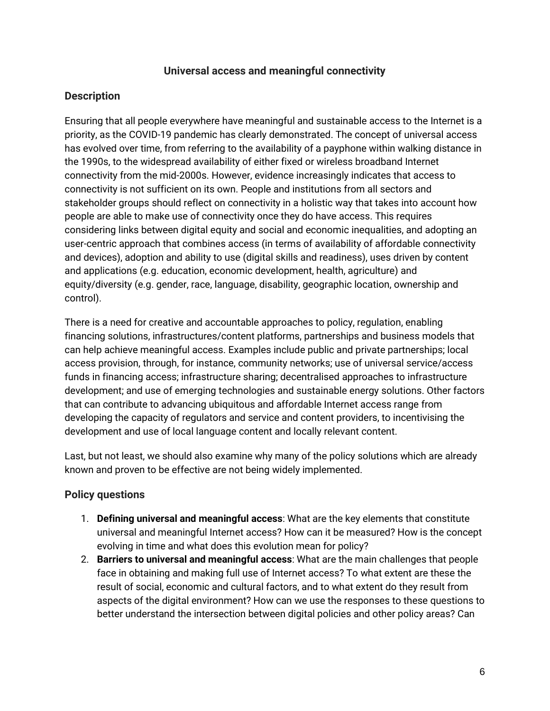### **Universal access and meaningful connectivity**

## <span id="page-5-0"></span>**Description**

Ensuring that all people everywhere have meaningful and sustainable access to the Internet is a priority, as the COVID-19 pandemic has clearly demonstrated. The concept of universal access has evolved over time, from referring to the availability of a payphone within walking distance in the 1990s, to the widespread availability of either fixed or wireless broadband Internet connectivity from the mid-2000s. However, evidence increasingly indicates that access to connectivity is not sufficient on its own. People and institutions from all sectors and stakeholder groups should reflect on connectivity in a holistic way that takes into account how people are able to make use of connectivity once they do have access. This requires considering links between digital equity and social and economic inequalities, and adopting an user-centric approach that combines access (in terms of availability of affordable connectivity and devices), adoption and ability to use (digital skills and readiness), uses driven by content and applications (e.g. education, economic development, health, agriculture) and equity/diversity (e.g. gender, race, language, disability, geographic location, ownership and control).

There is a need for creative and accountable approaches to policy, regulation, enabling financing solutions, infrastructures/content platforms, partnerships and business models that can help achieve meaningful access. Examples include public and private partnerships; local access provision, through, for instance, community networks; use of universal service/access funds in financing access; infrastructure sharing; decentralised approaches to infrastructure development; and use of emerging technologies and sustainable energy solutions. Other factors that can contribute to advancing ubiquitous and affordable Internet access range from developing the capacity of regulators and service and content providers, to incentivising the development and use of local language content and locally relevant content.

Last, but not least, we should also examine why many of the policy solutions which are already known and proven to be effective are not being widely implemented.

## **Policy questions**

- 1. **Defining universal and meaningful access**: What are the key elements that constitute universal and meaningful Internet access? How can it be measured? How is the concept evolving in time and what does this evolution mean for policy?
- 2. **Barriers to universal and meaningful access**: What are the main challenges that people face in obtaining and making full use of Internet access? To what extent are these the result of social, economic and cultural factors, and to what extent do they result from aspects of the digital environment? How can we use the responses to these questions to better understand the intersection between digital policies and other policy areas? Can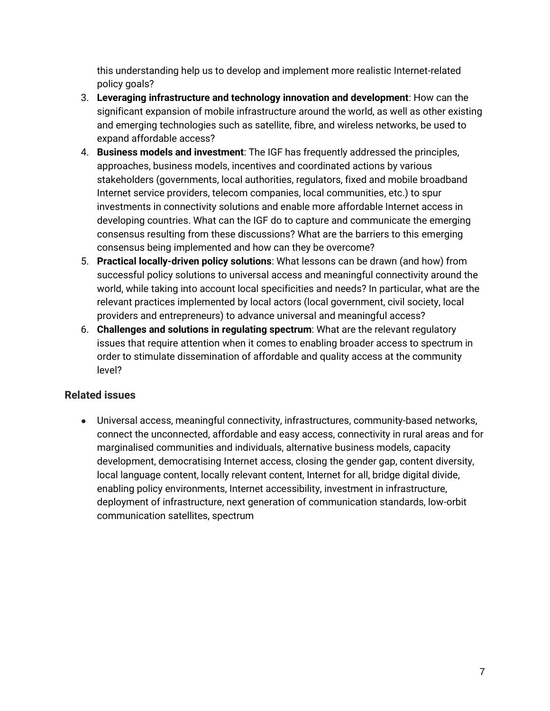this understanding help us to develop and implement more realistic Internet-related policy goals?

- 3. **Leveraging infrastructure and technology innovation and development**: How can the significant expansion of mobile infrastructure around the world, as well as other existing and emerging technologies such as satellite, fibre, and wireless networks, be used to expand affordable access?
- 4. **Business models and investment**: The IGF has frequently addressed the principles, approaches, business models, incentives and coordinated actions by various stakeholders (governments, local authorities, regulators, fixed and mobile broadband Internet service providers, telecom companies, local communities, etc.) to spur investments in connectivity solutions and enable more affordable Internet access in developing countries. What can the IGF do to capture and communicate the emerging consensus resulting from these discussions? What are the barriers to this emerging consensus being implemented and how can they be overcome?
- 5. **Practical locally-driven policy solutions**: What lessons can be drawn (and how) from successful policy solutions to universal access and meaningful connectivity around the world, while taking into account local specificities and needs? In particular, what are the relevant practices implemented by local actors (local government, civil society, local providers and entrepreneurs) to advance universal and meaningful access?
- 6. **Challenges and solutions in regulating spectrum**: What are the relevant regulatory issues that require attention when it comes to enabling broader access to spectrum in order to stimulate dissemination of affordable and quality access at the community level?

# **Related issues**

● Universal access, meaningful connectivity, infrastructures, community-based networks, connect the unconnected, affordable and easy access, connectivity in rural areas and for marginalised communities and individuals, alternative business models, capacity development, democratising Internet access, closing the gender gap, content diversity, local language content, locally relevant content, Internet for all, bridge digital divide, enabling policy environments, Internet accessibility, investment in infrastructure, deployment of infrastructure, next generation of communication standards, low-orbit communication satellites, spectrum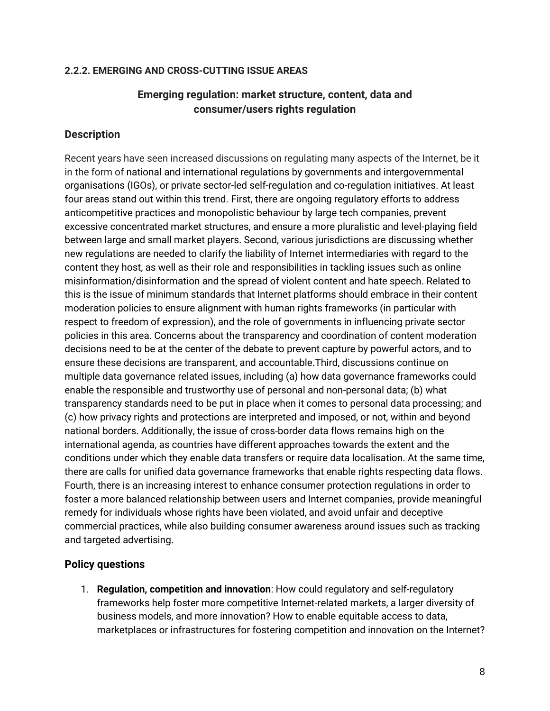#### <span id="page-7-0"></span>**2.2.2. EMERGING AND CROSS-CUTTING ISSUE AREAS**

## **Emerging regulation: market structure, content, data and consumer/users rights regulation**

### **Description**

Recent years have seen increased discussions on regulating many aspects of the Internet, be it in the form of national and international regulations by governments and intergovernmental organisations (IGOs), or private sector-led self-regulation and co-regulation initiatives. At least four areas stand out within this trend. First, there are ongoing regulatory efforts to address anticompetitive practices and monopolistic behaviour by large tech companies, prevent excessive concentrated market structures, and ensure a more pluralistic and level-playing field between large and small market players. Second, various jurisdictions are discussing whether new regulations are needed to clarify the liability of Internet intermediaries with regard to the content they host, as well as their role and responsibilities in tackling issues such as online misinformation/disinformation and the spread of violent content and hate speech. Related to this is the issue of minimum standards that Internet platforms should embrace in their content moderation policies to ensure alignment with human rights frameworks (in particular with respect to freedom of expression), and the role of governments in influencing private sector policies in this area. Concerns about the transparency and coordination of content moderation decisions need to be at the center of the debate to prevent capture by powerful actors, and to ensure these decisions are transparent, and accountable.Third, discussions continue on multiple data governance related issues, including (a) how data governance frameworks could enable the responsible and trustworthy use of personal and non-personal data; (b) what transparency standards need to be put in place when it comes to personal data processing; and (c) how privacy rights and protections are interpreted and imposed, or not, within and beyond national borders. Additionally, the issue of cross-border data flows remains high on the international agenda, as countries have different approaches towards the extent and the conditions under which they enable data transfers or require data localisation. At the same time, there are calls for unified data governance frameworks that enable rights respecting data flows. Fourth, there is an increasing interest to enhance consumer protection regulations in order to foster a more balanced relationship between users and Internet companies, provide meaningful remedy for individuals whose rights have been violated, and avoid unfair and deceptive commercial practices, while also building consumer awareness around issues such as tracking and targeted advertising.

### **Policy questions**

1. **Regulation, competition and innovation**: How could regulatory and self-regulatory frameworks help foster more competitive Internet-related markets, a larger diversity of business models, and more innovation? How to enable equitable access to data, marketplaces or infrastructures for fostering competition and innovation on the Internet?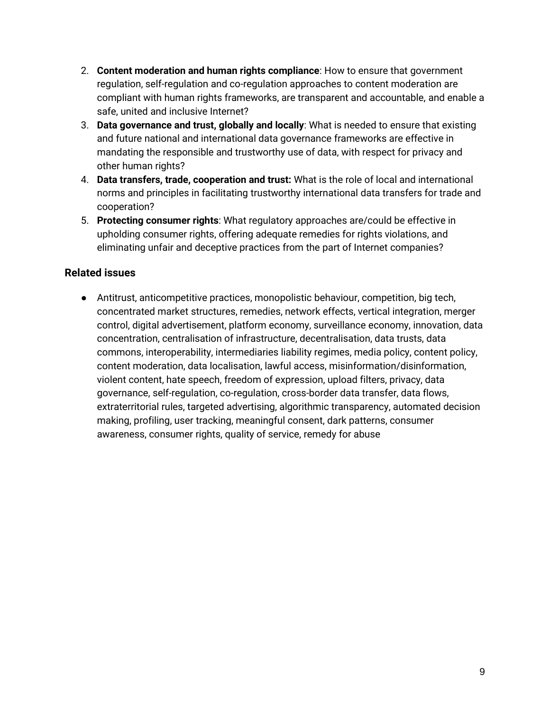- 2. **Content moderation and human rights compliance**: How to ensure that government regulation, self-regulation and co-regulation approaches to content moderation are compliant with human rights frameworks, are transparent and accountable, and enable a safe, united and inclusive Internet?
- 3. **Data governance and trust, globally and locally**: What is needed to ensure that existing and future national and international data governance frameworks are effective in mandating the responsible and trustworthy use of data, with respect for privacy and other human rights?
- 4. **Data transfers, trade, cooperation and trust:** What is the role of local and international norms and principles in facilitating trustworthy international data transfers for trade and cooperation?
- 5. **Protecting consumer rights**: What regulatory approaches are/could be effective in upholding consumer rights, offering adequate remedies for rights violations, and eliminating unfair and deceptive practices from the part of Internet companies?

## **Related issues**

● Antitrust, anticompetitive practices, monopolistic behaviour, competition, big tech, concentrated market structures, remedies, network effects, vertical integration, merger control, digital advertisement, platform economy, surveillance economy, innovation, data concentration, centralisation of infrastructure, decentralisation, data trusts, data commons, interoperability, intermediaries liability regimes, media policy, content policy, content moderation, data localisation, lawful access, misinformation/disinformation, violent content, hate speech, freedom of expression, upload filters, privacy, data governance, self-regulation, co-regulation, cross-border data transfer, data flows, extraterritorial rules, targeted advertising, algorithmic transparency, automated decision making, profiling, user tracking, meaningful consent, dark patterns, consumer awareness, consumer rights, quality of service, remedy for abuse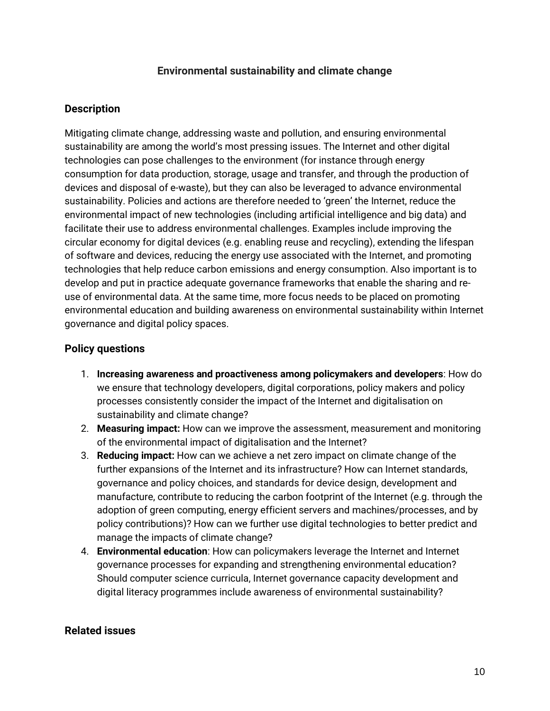### **Environmental sustainability and climate change**

### <span id="page-9-0"></span>**Description**

Mitigating climate change, addressing waste and pollution, and ensuring environmental sustainability are among the world's most pressing issues. The Internet and other digital technologies can pose challenges to the environment (for instance through energy consumption for data production, storage, usage and transfer, and through the production of devices and disposal of e-waste), but they can also be leveraged to advance environmental sustainability. Policies and actions are therefore needed to 'green' the Internet, reduce the environmental impact of new technologies (including artificial intelligence and big data) and facilitate their use to address environmental challenges. Examples include improving the circular economy for digital devices (e.g. enabling reuse and recycling), extending the lifespan of software and devices, reducing the energy use associated with the Internet, and promoting technologies that help reduce carbon emissions and energy consumption. Also important is to develop and put in practice adequate governance frameworks that enable the sharing and reuse of environmental data. At the same time, more focus needs to be placed on promoting environmental education and building awareness on environmental sustainability within Internet governance and digital policy spaces.

### **Policy questions**

- 1. **Increasing awareness and proactiveness among policymakers and developers**: How do we ensure that technology developers, digital corporations, policy makers and policy processes consistently consider the impact of the Internet and digitalisation on sustainability and climate change?
- 2. **Measuring impact:** How can we improve the assessment, measurement and monitoring of the environmental impact of digitalisation and the Internet?
- 3. **Reducing impact:** How can we achieve a net zero impact on climate change of the further expansions of the Internet and its infrastructure? How can Internet standards, governance and policy choices, and standards for device design, development and manufacture, contribute to reducing the carbon footprint of the Internet (e.g. through the adoption of green computing, energy efficient servers and machines/processes, and by policy contributions)? How can we further use digital technologies to better predict and manage the impacts of climate change?
- 4. **Environmental education**: How can policymakers leverage the Internet and Internet governance processes for expanding and strengthening environmental education? Should computer science curricula, Internet governance capacity development and digital literacy programmes include awareness of environmental sustainability?

### **Related issues**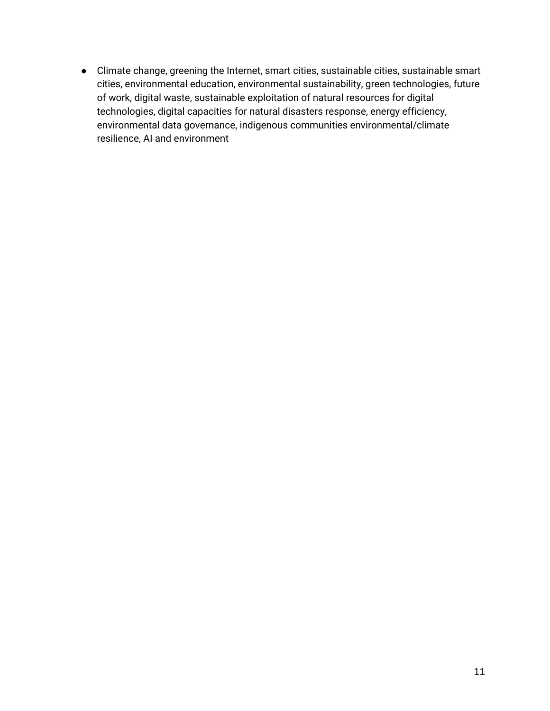● Climate change, greening the Internet, smart cities, sustainable cities, sustainable smart cities, environmental education, environmental sustainability, green technologies, future of work, digital waste, sustainable exploitation of natural resources for digital technologies, digital capacities for natural disasters response, energy efficiency, environmental data governance, indigenous communities environmental/climate resilience, AI and environment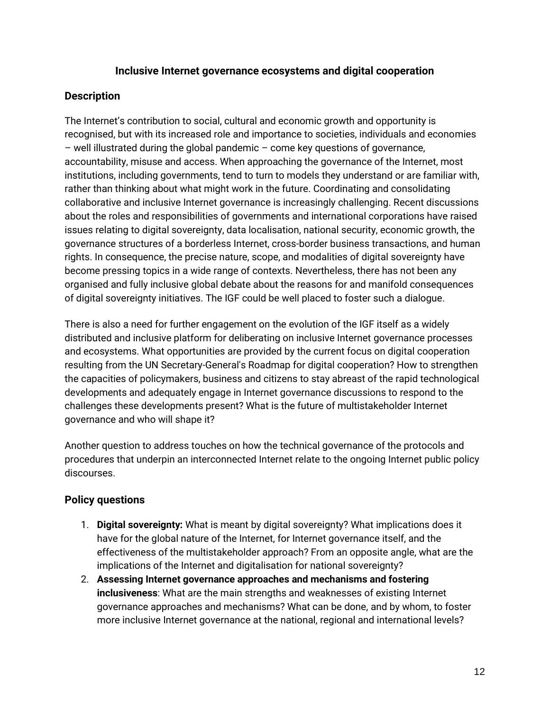### **Inclusive Internet governance ecosystems and digital cooperation**

## <span id="page-11-0"></span>**Description**

The Internet's contribution to social, cultural and economic growth and opportunity is recognised, but with its increased role and importance to societies, individuals and economies – well illustrated during the global pandemic – come key questions of governance, accountability, misuse and access. When approaching the governance of the Internet, most institutions, including governments, tend to turn to models they understand or are familiar with, rather than thinking about what might work in the future. Coordinating and consolidating collaborative and inclusive Internet governance is increasingly challenging. Recent discussions about the roles and responsibilities of governments and international corporations have raised issues relating to digital sovereignty, data localisation, national security, economic growth, the governance structures of a borderless Internet, cross-border business transactions, and human rights. In consequence, the precise nature, scope, and modalities of digital sovereignty have become pressing topics in a wide range of contexts. Nevertheless, there has not been any organised and fully inclusive global debate about the reasons for and manifold consequences of digital sovereignty initiatives. The IGF could be well placed to foster such a dialogue.

There is also a need for further engagement on the evolution of the IGF itself as a widely distributed and inclusive platform for deliberating on inclusive Internet governance processes and ecosystems. What opportunities are provided by the current focus on digital cooperation resulting from the UN Secretary-General's Roadmap for digital cooperation? How to strengthen the capacities of policymakers, business and citizens to stay abreast of the rapid technological developments and adequately engage in Internet governance discussions to respond to the challenges these developments present? What is the future of multistakeholder Internet governance and who will shape it?

Another question to address touches on how the technical governance of the protocols and procedures that underpin an interconnected Internet relate to the ongoing Internet public policy discourses.

# **Policy questions**

- 1. **Digital sovereignty:** What is meant by digital sovereignty? What implications does it have for the global nature of the Internet, for Internet governance itself, and the effectiveness of the multistakeholder approach? From an opposite angle, what are the implications of the Internet and digitalisation for national sovereignty?
- 2. **Assessing Internet governance approaches and mechanisms and fostering inclusiveness**: What are the main strengths and weaknesses of existing Internet governance approaches and mechanisms? What can be done, and by whom, to foster more inclusive Internet governance at the national, regional and international levels?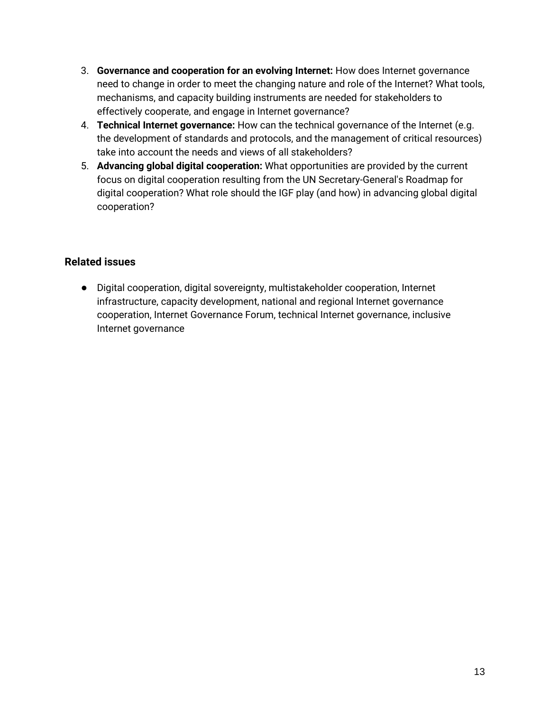- 3. **Governance and cooperation for an evolving Internet:** How does Internet governance need to change in order to meet the changing nature and role of the Internet? What tools, mechanisms, and capacity building instruments are needed for stakeholders to effectively cooperate, and engage in Internet governance?
- 4. **Technical Internet governance:** How can the technical governance of the Internet (e.g. the development of standards and protocols, and the management of critical resources) take into account the needs and views of all stakeholders?
- 5. **Advancing global digital cooperation:** What opportunities are provided by the current focus on digital cooperation resulting from the UN Secretary-General's Roadmap for digital cooperation? What role should the IGF play (and how) in advancing global digital cooperation?

## **Related issues**

● Digital cooperation, digital sovereignty, multistakeholder cooperation, Internet infrastructure, capacity development, national and regional Internet governance cooperation, Internet Governance Forum, technical Internet governance, inclusive Internet governance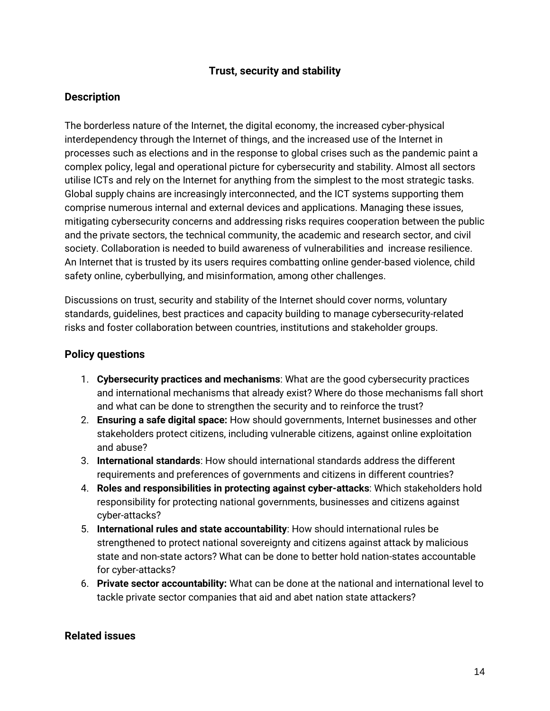## **Trust, security and stability**

## <span id="page-13-0"></span>**Description**

The borderless nature of the Internet, the digital economy, the increased cyber-physical interdependency through the Internet of things, and the increased use of the Internet in processes such as elections and in the response to global crises such as the pandemic paint a complex policy, legal and operational picture for cybersecurity and stability. Almost all sectors utilise ICTs and rely on the Internet for anything from the simplest to the most strategic tasks. Global supply chains are increasingly interconnected, and the ICT systems supporting them comprise numerous internal and external devices and applications. Managing these issues, mitigating cybersecurity concerns and addressing risks requires cooperation between the public and the private sectors, the technical community, the academic and research sector, and civil society. Collaboration is needed to build awareness of vulnerabilities and increase resilience. An Internet that is trusted by its users requires combatting online gender-based violence, child safety online, cyberbullying, and misinformation, among other challenges.

Discussions on trust, security and stability of the Internet should cover norms, voluntary standards, guidelines, best practices and capacity building to manage cybersecurity-related risks and foster collaboration between countries, institutions and stakeholder groups.

### **Policy questions**

- 1. **Cybersecurity practices and mechanisms**: What are the good cybersecurity practices and international mechanisms that already exist? Where do those mechanisms fall short and what can be done to strengthen the security and to reinforce the trust?
- 2. **Ensuring a safe digital space:** How should governments, Internet businesses and other stakeholders protect citizens, including vulnerable citizens, against online exploitation and abuse?
- 3. **International standards**: How should international standards address the different requirements and preferences of governments and citizens in different countries?
- 4. **Roles and responsibilities in protecting against cyber-attacks**: Which stakeholders hold responsibility for protecting national governments, businesses and citizens against cyber-attacks?
- 5. **International rules and state accountability**: How should international rules be strengthened to protect national sovereignty and citizens against attack by malicious state and non-state actors? What can be done to better hold nation-states accountable for cyber-attacks?
- 6. **Private sector accountability:** What can be done at the national and international level to tackle private sector companies that aid and abet nation state attackers?

### **Related issues**